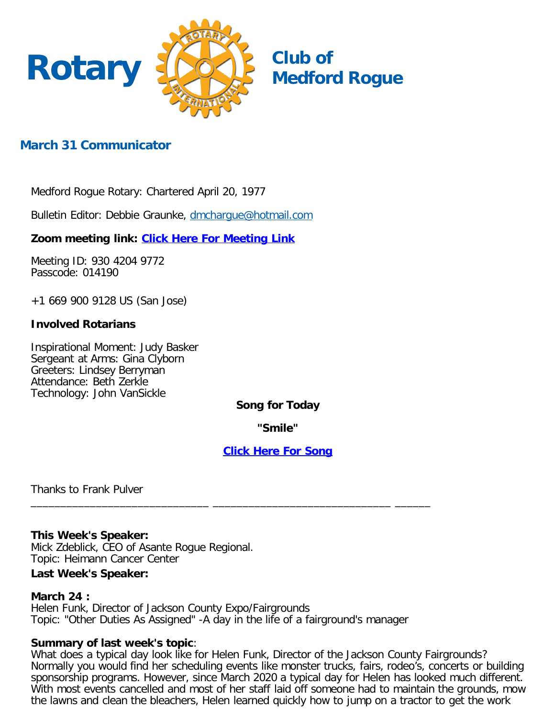

# **March 31 Communicator**

Medford Rogue Rotary: Chartered April 20, 1977

Bulletin Editor: Debbie Graunke, [dmchargue@hotmail.com](mailto:dmchargue@hotmail.com)

**Zoom meeting link: [Click Here For Meeting Link](https://zoom.us/j/93042049772?pwd=WDh2WFVUQ0FyTXkxTTcxcWs4UzFFQT09)**

Meeting ID: 930 4204 9772 Passcode: 014190

+1 669 900 9128 US (San Jose)

### **Involved Rotarians**

Inspirational Moment: Judy Basker Sergeant at Arms: Gina Clyborn Greeters: Lindsey Berryman Attendance: Beth Zerkle Technology: John VanSickle

### **Song for Today**

**"Smile"**

### **[Click Here For Song](https://youtu.be/BG0RPOhcox0)**

Thanks to Frank Pulver

#### **This Week's Speaker:**

Mick Zdeblick, CEO of Asante Rogue Regional. Topic: Heimann Cancer Center

#### **Last Week's Speaker:**

#### **March 24 :**

Helen Funk, Director of Jackson County Expo/Fairgrounds Topic: "Other Duties As Assigned" -A day in the life of a fairground's manager

\_\_\_\_\_\_\_\_\_\_\_\_\_\_\_\_\_\_\_\_\_\_\_\_\_\_\_\_\_\_ \_\_\_\_\_\_\_\_\_\_\_\_\_\_\_\_\_\_\_\_\_\_\_\_\_\_\_\_\_\_ \_\_\_\_\_\_

#### **Summary of last week's topic**:

What does a typical day look like for Helen Funk, Director of the Jackson County Fairgrounds? Normally you would find her scheduling events like monster trucks, fairs, rodeo's, concerts or building sponsorship programs. However, since March 2020 a typical day for Helen has looked much different. With most events cancelled and most of her staff laid off someone had to maintain the grounds, mow the lawns and clean the bleachers, Helen learned quickly how to jump on a tractor to get the work